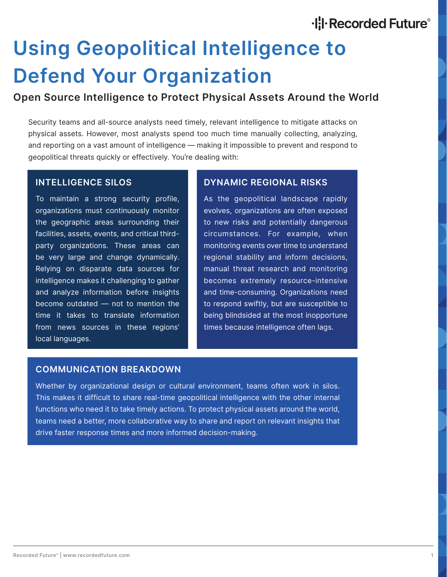# **Using Geopolitical Intelligence to Defend Your Organization**

#### **Open Source Intelligence to Protect Physical Assets Around the World**

Security teams and all-source analysts need timely, relevant intelligence to mitigate attacks on physical assets. However, most analysts spend too much time manually collecting, analyzing, and reporting on a vast amount of intelligence — making it impossible to prevent and respond to geopolitical threats quickly or effectively. You're dealing with:

#### **INTELLIGENCE SILOS**

To maintain a strong security profile, organizations must continuously monitor the geographic areas surrounding their facilities, assets, events, and critical thirdparty organizations. These areas can be very large and change dynamically. Relying on disparate data sources for intelligence makes it challenging to gather and analyze information before insights become outdated — not to mention the time it takes to translate information from news sources in these regions' local languages.

#### **DYNAMIC REGIONAL RISKS**

As the geopolitical landscape rapidly evolves, organizations are often exposed to new risks and potentially dangerous circumstances. For example, when monitoring events over time to understand regional stability and inform decisions, manual threat research and monitoring becomes extremely resource-intensive and time-consuming. Organizations need to respond swiftly, but are susceptible to being blindsided at the most inopportune times because intelligence often lags.

#### **COMMUNICATION BREAKDOWN**

Whether by organizational design or cultural environment, teams often work in silos. This makes it difficult to share real-time geopolitical intelligence with the other internal functions who need it to take timely actions. To protect physical assets around the world, teams need a better, more collaborative way to share and report on relevant insights that drive faster response times and more informed decision-making.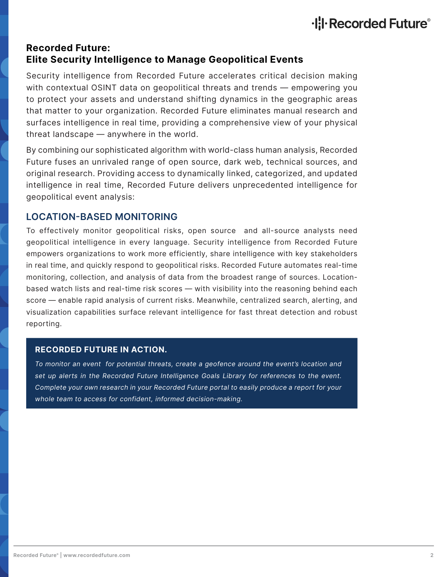### ·l: I Recorded Future®

#### **Recorded Future: Elite Security Intelligence to Manage Geopolitical Events**

Security intelligence from Recorded Future accelerates critical decision making with contextual OSINT data on geopolitical threats and trends — empowering you to protect your assets and understand shifting dynamics in the geographic areas that matter to your organization. Recorded Future eliminates manual research and surfaces intelligence in real time, providing a comprehensive view of your physical threat landscape — anywhere in the world.

By combining our sophisticated algorithm with world-class human analysis, Recorded Future fuses an unrivaled range of open source, dark web, technical sources, and original research. Providing access to dynamically linked, categorized, and updated intelligence in real time, Recorded Future delivers unprecedented intelligence for geopolitical event analysis:

#### **LOCATION-BASED MONITORING**

To effectively monitor geopolitical risks, open source and all-source analysts need geopolitical intelligence in every language. Security intelligence from Recorded Future empowers organizations to work more efficiently, share intelligence with key stakeholders in real time, and quickly respond to geopolitical risks. Recorded Future automates real-time monitoring, collection, and analysis of data from the broadest range of sources. Locationbased watch lists and real-time risk scores — with visibility into the reasoning behind each score — enable rapid analysis of current risks. Meanwhile, centralized search, alerting, and visualization capabilities surface relevant intelligence for fast threat detection and robust reporting.

#### **RECORDED FUTURE IN ACTION.**

*To monitor an event for potential threats, create a geofence around the event's location and*  set up alerts in the Recorded Future Intelligence Goals Library for references to the event. *Complete your own research in your Recorded Future portal to easily produce a report for your whole team to access for confident, informed decision-making.*